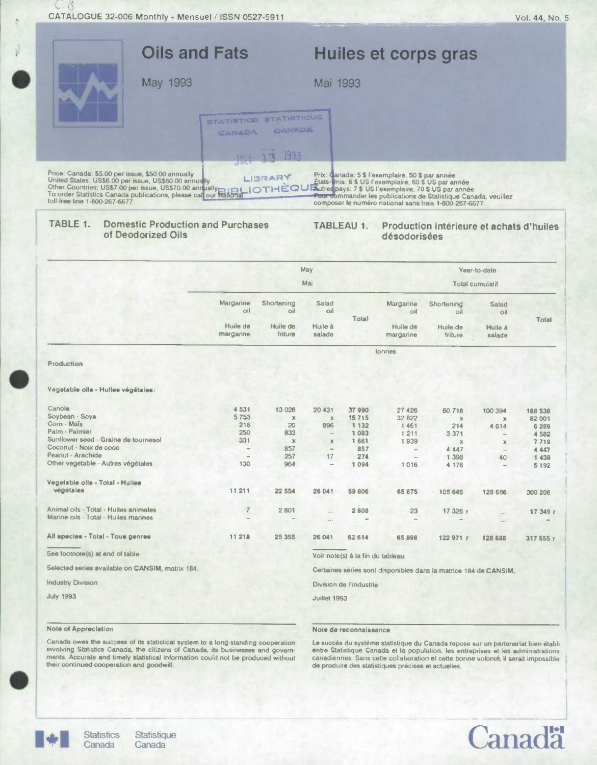$(.3)$ 

|                                                   | <b>Oils and Fats</b>                                           | Huiles et corps gras                                                                                                                                                                                                                                                                           |
|---------------------------------------------------|----------------------------------------------------------------|------------------------------------------------------------------------------------------------------------------------------------------------------------------------------------------------------------------------------------------------------------------------------------------------|
|                                                   | May 1993                                                       | Mai 1993                                                                                                                                                                                                                                                                                       |
|                                                   | STATISTICS STATISTICUE<br><b>CANADA</b>                        | CHIVADA                                                                                                                                                                                                                                                                                        |
| Price: Canada: \$5.00 per issue, \$50.00 annually | 14:5 13 1993<br>LIBRARY                                        | Prix: Canada: 5 \$ l'exemplaire, 50 \$ par année<br>United States: US\$6.00 per issue, US\$60.00 annually<br>Other Countries: US\$7.00 per issue, US\$70.00 annually<br>To order Statistics Canada publications, please call our National COTHEOU Library pays: 7 \$ US l'exemplaire, 70 \$ US |
| toll-free line 1-800-267-6677                     |                                                                | Pour commander les publications de Statistique Canada, veuillez<br>composer le numéro national sans frais 1-800-267-6677                                                                                                                                                                       |
| TABLE 1.                                          | <b>Domestic Production and Purchases</b><br>of Deodorized Oils | TABLEAU 1.<br>Production intérieure et achats d'huiles<br>désadorisées                                                                                                                                                                                                                         |

|                                                  | May<br>Mai            |                     |                          |                                   | Year-to-date             |                                                                  |                          |           |  |
|--------------------------------------------------|-----------------------|---------------------|--------------------------|-----------------------------------|--------------------------|------------------------------------------------------------------|--------------------------|-----------|--|
|                                                  |                       |                     |                          |                                   | Total cumulatif          |                                                                  |                          |           |  |
|                                                  | Margarine<br>oil      | Shortening<br>oil   | Salad<br>oil             |                                   | Margarine<br>oil         | Shortening<br>oil                                                | Salad<br>oil             |           |  |
|                                                  | Huile de<br>margarine | Huile de<br>friture | Huile à<br>salade        | Total                             | Huile de<br>margarine    | Huile de<br>friture                                              | Huile à<br>salade        | Total     |  |
|                                                  |                       |                     |                          |                                   | tonnes                   |                                                                  |                          |           |  |
| Production                                       |                       |                     |                          |                                   |                          |                                                                  |                          |           |  |
| Vegetable olls - Hulles végétales:               |                       |                     |                          |                                   |                          |                                                                  |                          |           |  |
| Canola                                           | 4 5 31                | 13 0 28             | 20 431                   | 37990                             | 27 4 26                  | 60718                                                            | 100 394                  | 188 538   |  |
| Soybean - Soya                                   | 5753                  | $\mathbf x$         | $\mathbf x$              | 15715                             | 32 822                   | $\chi$                                                           | $\chi$                   | 82 001    |  |
| Corn - Mais                                      | 216                   | 20                  | 896                      | 1 1 3 2                           | 1461                     | 214                                                              | 4614                     | 6 2 8 9   |  |
| Palm - Palmier                                   | 250                   | 833                 | $\overline{\phantom{a}}$ | 1 0 8 3                           | 1 2 1 1                  | 3 3 7 1                                                          |                          | 4582      |  |
| Sunflower seed - Graine de tournesol             | 331                   | $\mathbb X$         | $\times$                 | 1661                              | 1939                     | $\chi$                                                           | $\mathbf x$              | 7719      |  |
| Coconut - Noix de coco<br>Peanut - Arachide      | $\qquad \qquad -$     | 857                 | $\qquad \qquad =$        | 857                               | $\overline{\phantom{m}}$ | 4 4 4 7                                                          | $\qquad \qquad -$        | 4 4 4 7   |  |
| Other vegetable - Autres végétales               | 130                   | 257                 | 17                       | 274<br>1094                       | ÷                        | 1 3 9 8                                                          | 40                       | 1438      |  |
|                                                  |                       | 964                 | $\overline{\phantom{a}}$ |                                   | 1016                     | 4 176                                                            | $\overline{\phantom{0}}$ | 5 1 9 2   |  |
| Vegetable oils - Total - Huiles                  |                       |                     |                          |                                   |                          |                                                                  |                          |           |  |
| végétales                                        | 11211                 | 22 554              | 26 041                   | 59 806                            | 65 875                   | 105 645                                                          | 128 686                  | 300 206   |  |
| Animal oils - Total - Huiles animales            | $\overline{7}$        | 2801                | $\cdots$                 | 2808                              | 23                       | 17 326 r                                                         | $\cdots$                 | 17 349 r  |  |
| Marine oils - Total - Huiles marines             |                       |                     | $\cdots$                 |                                   |                          |                                                                  | $\cdots$                 |           |  |
| All species - Total - Tous genres                | 11 218                | 25 355              | 26 041                   | 62 614                            | 65 898                   | 122 971 1                                                        | 128 686                  | 317 555 r |  |
| See footnote(s) at end of table.                 |                       |                     |                          | Voir note(s) à la fin du tableau. |                          |                                                                  |                          |           |  |
| Selected series available on CANSIM, matrix 184. |                       |                     |                          |                                   |                          | Certaines séries sont disponibles dans la matrice 184 de CANSIM, |                          |           |  |
| <b>Industry Division</b>                         |                       |                     |                          | Division de l'industrie           |                          |                                                                  |                          |           |  |
| <b>July 1993</b>                                 |                       |                     | Juillet 1993             |                                   |                          |                                                                  |                          |           |  |

## Note of Appreciation

Note de reconnaissance

Canada owes the success of its statistical system to a long-standing cooperation involving Statistics Canada, the citizens of Canada, its businesses and governments. Accurate and timely statistical information could not be

Le succès du système statistique du Canada repose sur un partenariat bien établientre Statistique Canada et la population, les entreprises et les administrations canadiennes. Sans cette collaboration et cette bonne volonté, il serait impossible de produire des statistiques précises et actuelles.



Statistique Canada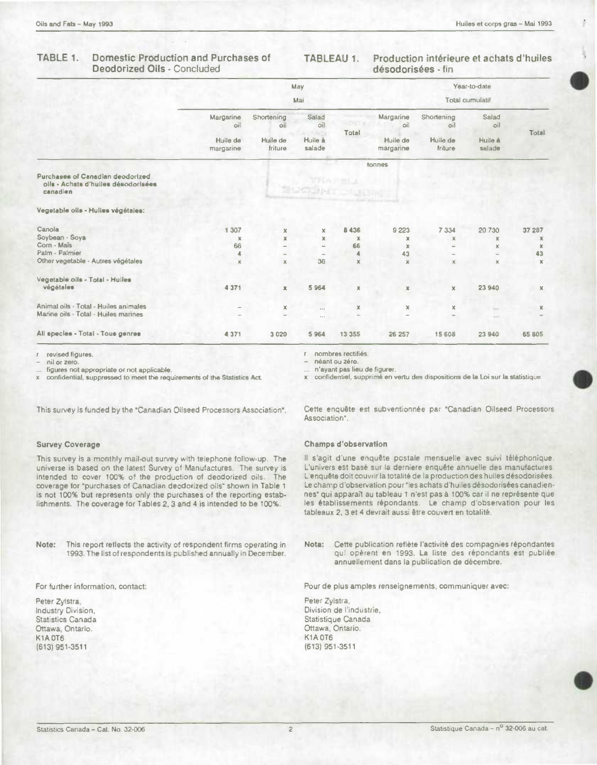#### TABLE 1. **Domestic Production and Purchases of Deodorized Oils - Concluded**

#### **TABLEAU 1.** Production intérieure et achats d'huiles désodorisées - fin

|                                                                                     |                       |                     | May                        |              |                       |                     | Year-to-date      |             |
|-------------------------------------------------------------------------------------|-----------------------|---------------------|----------------------------|--------------|-----------------------|---------------------|-------------------|-------------|
|                                                                                     | Mai                   |                     |                            |              |                       | Total cumulatif     |                   |             |
|                                                                                     | Margarine<br>oil      | Shortening<br>oil   | Salad<br>oil               | <b>ACTES</b> | Margarine<br>oil      | Shortening<br>oil   | Salad<br>oil      |             |
|                                                                                     | Huile de<br>margarine | Huile de<br>friture | a, m<br>Huile à<br>salade  | Total        | Huile de<br>margarine | Huile de<br>friture | Huile à<br>salade | Total       |
|                                                                                     |                       |                     |                            |              | tonnes                |                     |                   |             |
| Purchases of Canadian deodorized<br>oils - Achats d'hulles désodorisées<br>canadien |                       |                     | <b>MEARS</b><br>SUCHATOLIC |              |                       |                     |                   |             |
| Vegetable oils - Hulles végétales:                                                  |                       |                     |                            |              |                       |                     |                   |             |
| Canola                                                                              | 1 307                 | x                   | x                          | 8 4 3 6      | 9 2 2 3               | 7 3 3 4             | 20 730            | 37 287      |
| Soybean - Soya                                                                      | $\chi$                | ×                   | x                          | x            | ×                     | $\mathbb{X}$        | ×                 | x           |
| Corn - Mais                                                                         | 66                    |                     | $\overline{\phantom{a}}$   | 66           | x                     |                     | x                 | ×           |
| Palm - Palmier                                                                      | 4                     |                     |                            |              | 43                    |                     |                   | 43          |
| Other vegetable - Autres végétales                                                  | $\times$              | ×                   | 36                         | $\mathbf x$  | $\mathbb X$           | $\times$            | x                 | $\mathbf x$ |
| Vegetable oils - Total - Hulles                                                     |                       |                     |                            |              |                       |                     |                   |             |
| végétales                                                                           | 4 371                 | $\mathbf x$         | 5964                       | ×            | $\mathbb X$           | $\mathbf x$         | 23 940            | $\mathbf x$ |
| Animal oils - Total - Huiles animales                                               |                       | x                   | $\cdots$                   | $\mathbb{X}$ | x                     | $\times$            |                   | x           |
| Marine oils - Total - Huiles marines                                                |                       |                     | $\alpha$ is $\beta$        |              |                       | $\sim$              | 5.5 <sup>0</sup>  |             |
| All species - Total - Tous genres                                                   | 4371                  | 3 0 2 0             | 5964                       | 13 3 5 5     | 26 257                | 15 608              | 23 940            | 65 805      |

revised figures.

nil or zero

figures not appropriate or not applicable.

confidential, suppressed to meet the requirements of the Statistics Act.

This survey is funded by the "Canadian Oilseed Processors Association".

### **Survey Coverage**

This survey is a monthly mail-out survey with telephone follow-up. The universe is based on the latest Survey of Manufactures. The survey is intended to cover 100% of the production of deodorized oils. The coverage for "purchases of Canadian deodorized oils" shown in Table 1 is not 100% but represents only the purchases of the reporting establishments. The coverage for Tables 2, 3 and 4 is intended to be 100%.

Note: This report reflects the activity of respondent firms operating in 1993. The list of respondents is published annually in December.

For further information, contact:

Peter Zylstra, Industry Division, Statistics Canada Ottawa, Ontario. **K1A 0T6** (613) 951-3511

r nombres rectifiés.

néant ou zéro.

n'ayant pas lieu de figurer.

x confidentiel, supprimé en vertu des dispositions de la Loi sur la statistique.

Cette enquête est subventionnée par "Canadian Oilseed Processors Association".

### **Champs d'observation**

Il s'agit d'une enquête postale mensuelle avec suivi téléphonique. L'univers est basé sur la derniere enquête annuelle des manufactures. L'enquête doit couvrir la totalité de la production des huiles désodorisées. Le champ d'observation pour "les achats d'huiles désodorisées canadiennes" qui apparaît au tableau 1 n'est pas à 100% car il ne représente que les établissements répondants. Le champ d'observation pour les tableaux 2, 3 et 4 devrait aussi être couvert en totalité.

Nota: Cette publication reflète l'activité des compagnies répondantes qui opèrent en 1993. La liste des répondants est publiée annuellement dans la publication de décembre.

Pour de plus amples renseignements, communiquer avec:

Peter Zylstra, Division de l'industrie, Statistique Canada Ottawa, Ontario. K1A OT6 (613) 951-3511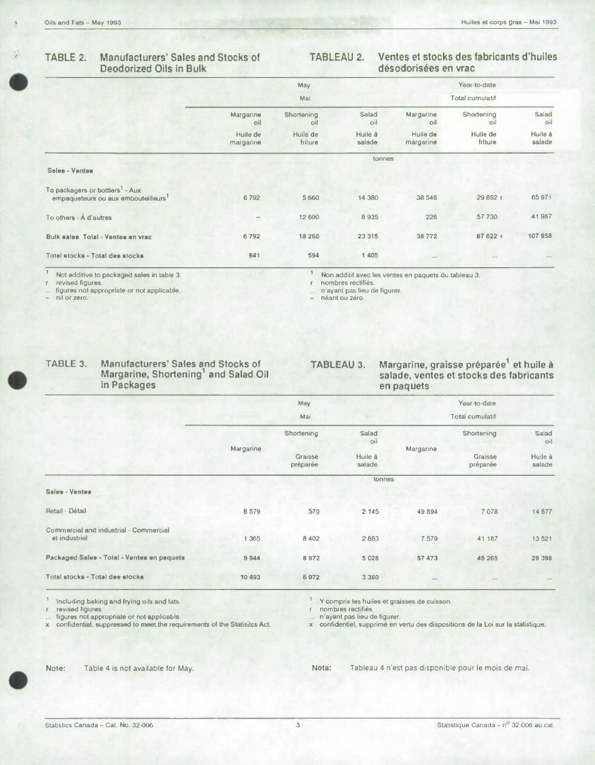### Manufacturers' Sales and Stocks of TABLE 2. **Deodorized Oils in Bulk**

#### **TABLEAU 2.** Ventes et stocks des fabricants d'huiles désodorisées en vrac

|                                                                                                |                          | May                 |                   |                       | Year-to-date        |                          |
|------------------------------------------------------------------------------------------------|--------------------------|---------------------|-------------------|-----------------------|---------------------|--------------------------|
|                                                                                                | Mai                      |                     |                   | Total cumulatif       |                     |                          |
|                                                                                                | Margarine<br>oil         | Shortening<br>oil   | Salad<br>oil      | Margarine<br>oil      | Shortening<br>oil   | Salad<br>oil             |
|                                                                                                | Huile de<br>margarine    | Huile de<br>friture | Huile à<br>salade | Huile de<br>margarine | Huile de<br>friture | Huile à<br>salade        |
|                                                                                                |                          |                     | tonnes            |                       |                     |                          |
| Sales - Ventes                                                                                 |                          |                     |                   |                       |                     |                          |
| To packagers or bottlers <sup>1</sup> - Aux<br>empaqueteurs ou aux embouteilleurs <sup>1</sup> | 6792                     | 5 6 6 0             | 14 3 8 0          | 38 546                | 29 892 (            | 65 971                   |
| To others - À d'autres                                                                         | $\overline{\phantom{a}}$ | 12 600              | 8935              | 226                   | 57 730              | 41987                    |
| Bulk sales Total - Ventes en vrac                                                              | 6792                     | 18 260              | 23 315            | 38772                 | 87 622 r            | 107958                   |
| Total stocks - Total des stocks                                                                | 641                      | 594                 | 1 405             | 44.6                  | $3 - 1$             | $\epsilon \rightarrow$ 1 |
|                                                                                                |                          |                     |                   |                       |                     |                          |

 $\mathbf{1}$ Not additive to packaged sales in table 3.

revised figures figures not appropriate or not applicable.

nil or zero.

 $\ensuremath{\mathbb{T}}$ Non additif avec les ventes en paquets du tableau 3.

 $\mathbf{r}$ nombres rectifiés.

n'ayant pas lieu de figurer.

 $\ldots$  n'ayam pour  $\ldots$ <br>  $-$  néant ou zéro.

| TABLE 3. | <b>Manufacturers' Sales and Stocks of</b> |
|----------|-------------------------------------------|
|          | Margarine, Shortening' and Salad Oil      |
|          | in Packages                               |

# Margarine, graisse préparée<sup>1</sup> et huile à<br>salade, ventes et stocks des fabricants **TABLEAU 3.** en paquets

|                                                         |           | May                 |                   |           | Year-to-date        |                         |
|---------------------------------------------------------|-----------|---------------------|-------------------|-----------|---------------------|-------------------------|
|                                                         |           | Mai                 |                   |           | Total cumulatif     |                         |
|                                                         |           | Shortening          | Salad<br>oil      |           | Shortening          | Salad<br>O <sub>i</sub> |
|                                                         | Margarine | Graisse<br>préparée | Huile à<br>salade | Margarine | Graisse<br>préparée | Huile à<br>salade       |
|                                                         |           |                     | tonnes            |           |                     |                         |
| Sales - Ventes                                          |           |                     |                   |           |                     |                         |
| Retail - Détail                                         | 8579      | 570                 | 2 145             | 49 894    | 7078                | 14 877                  |
| Commercial and industrial - Commercial<br>et industriel | 1 3 6 5   | 8 4 0 2             | 2883              | 7579      | 41 187              | 13 5 21                 |
| Packaged Sales - Total - Ventes en paquets              | 9944      | 8972                | 5 0 2 8           | 57 473    | 48 265              | 28 398                  |
| Total stocks - Total des stocks                         | 10 493    | 6 0 7 2             | 3 3 8 0           |           | 0.0.0               | $p \pm \eta$            |

Including baking and frying oils and fats.

revised figures.

The state inclusion of applicable.<br>
state of appropriate or not applicable.<br>
confidential, suppressed to meet the requirements of the Statisitcs Act.  $\mathbf{x}$ 

<sup>1</sup> Y compris les huiles et graisses de cuisson.

r nombres rectifiés.

n'ayant pas lieu de figurer.

x confidentiel, supprimé en vertu des dispositions de la Loi sur la statistique.



Table 4 is not available for May.

Tableau 4 n'est pas disponible pour le mois de mai. Nota: